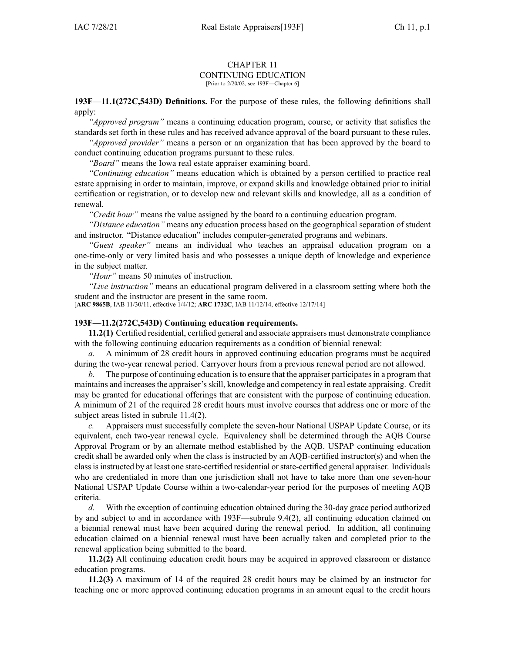## CHAPTER 11 CONTINUING EDUCATION [Prior to 2/20/02, see 193F—Chapter 6]

**193F—11.1(272C,543D) Definitions.** For the purpose of these rules, the following definitions shall apply:

*"Approved program"* means <sup>a</sup> continuing education program, course, or activity that satisfies the standards set forth in these rules and has received advance approval of the board pursuan<sup>t</sup> to these rules.

*"Approved provider"* means <sup>a</sup> person or an organization that has been approved by the board to conduct continuing education programs pursuan<sup>t</sup> to these rules.

*"Board"* means the Iowa real estate appraiser examining board.

*"Continuing education"* means education which is obtained by <sup>a</sup> person certified to practice real estate appraising in order to maintain, improve, or expand skills and knowledge obtained prior to initial certification or registration, or to develop new and relevant skills and knowledge, all as <sup>a</sup> condition of renewal.

*"Credit hour"* means the value assigned by the board to <sup>a</sup> continuing education program.

*"Distance education"* means any education process based on the geographical separation of student and instructor. "Distance education" includes computer-generated programs and webinars.

*"Guest speaker"* means an individual who teaches an appraisal education program on <sup>a</sup> one-time-only or very limited basis and who possesses <sup>a</sup> unique depth of knowledge and experience in the subject matter.

*"Hour"* means 50 minutes of instruction.

*"Live instruction"* means an educational program delivered in <sup>a</sup> classroom setting where both the student and the instructor are presen<sup>t</sup> in the same room.

[**ARC [9865B](https://www.legis.iowa.gov/docs/aco/arc/9865B.pdf)**, IAB 11/30/11, effective 1/4/12; **ARC [1732C](https://www.legis.iowa.gov/docs/aco/arc/1732C.pdf)**, IAB 11/12/14, effective 12/17/14]

## **193F—11.2(272C,543D) Continuing education requirements.**

**11.2(1)** Certified residential, certified general and associate appraisers must demonstrate compliance with the following continuing education requirements as a condition of biennial renewal:

*a.* A minimum of 28 credit hours in approved continuing education programs must be acquired during the two-year renewal period. Carryover hours from <sup>a</sup> previous renewal period are not allowed.

*b.* The purpose of continuing education isto ensure that the appraiser participatesin <sup>a</sup> program that maintains and increasesthe appraiser'sskill, knowledge and competency in real estate appraising. Credit may be granted for educational offerings that are consistent with the purpose of continuing education. A minimum of 21 of the required 28 credit hours must involve courses that address one or more of the subject areas listed in subrule [11.4\(2\)](https://www.legis.iowa.gov/docs/iac/rule/193F.11.4.pdf).

*c.* Appraisers must successfully complete the seven-hour National USPAP Update Course, or its equivalent, each two-year renewal cycle. Equivalency shall be determined through the AQB Course Approval Program or by an alternate method established by the AQB. USPAP continuing education credit shall be awarded only when the class is instructed by an AQB-certified instructor(s) and when the classisinstructed by at least one state-certified residential orstate-certified general appraiser. Individuals who are credentialed in more than one jurisdiction shall not have to take more than one seven-hour National USPAP Update Course within <sup>a</sup> two-calendar-year period for the purposes of meeting AQB criteria.

*d.* With the exception of continuing education obtained during the 30-day grace period authorized by and subject to and in accordance with [193F—subrule](https://www.legis.iowa.gov/docs/iac/rule/193F.9.4.pdf) 9.4(2), all continuing education claimed on <sup>a</sup> biennial renewal must have been acquired during the renewal period. In addition, all continuing education claimed on <sup>a</sup> biennial renewal must have been actually taken and completed prior to the renewal application being submitted to the board.

**11.2(2)** All continuing education credit hours may be acquired in approved classroom or distance education programs.

**11.2(3)** A maximum of 14 of the required 28 credit hours may be claimed by an instructor for teaching one or more approved continuing education programs in an amount equal to the credit hours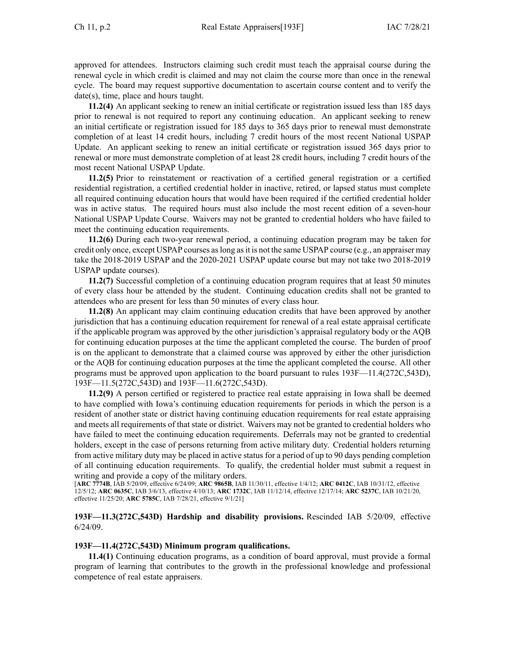approved for attendees. Instructors claiming such credit must teach the appraisal course during the renewal cycle in which credit is claimed and may not claim the course more than once in the renewal cycle. The board may reques<sup>t</sup> supportive documentation to ascertain course content and to verify the date(s), time, place and hours taught.

**11.2(4)** An applicant seeking to renew an initial certificate or registration issued less than 185 days prior to renewal is not required to repor<sup>t</sup> any continuing education. An applicant seeking to renew an initial certificate or registration issued for 185 days to 365 days prior to renewal must demonstrate completion of at least 14 credit hours, including 7 credit hours of the most recent National USPAP Update. An applicant seeking to renew an initial certificate or registration issued 365 days prior to renewal or more must demonstrate completion of at least 28 credit hours, including 7 credit hours of the most recent National USPAP Update.

**11.2(5)** Prior to reinstatement or reactivation of <sup>a</sup> certified general registration or <sup>a</sup> certified residential registration, <sup>a</sup> certified credential holder in inactive, retired, or lapsed status must complete all required continuing education hours that would have been required if the certified credential holder was in active status. The required hours must also include the most recent edition of <sup>a</sup> seven-hour National USPAP Update Course. Waivers may not be granted to credential holders who have failed to meet the continuing education requirements.

**11.2(6)** During each two-year renewal period, <sup>a</sup> continuing education program may be taken for credit only once, excep<sup>t</sup> USPAP courses aslong asit is not the same USPAP course (e.g., an appraiser may take the 2018-2019 USPAP and the 2020-2021 USPAP update course but may not take two 2018-2019 USPAP update courses).

**11.2(7)** Successful completion of <sup>a</sup> continuing education program requires that at least 50 minutes of every class hour be attended by the student. Continuing education credits shall not be granted to attendees who are presen<sup>t</sup> for less than 50 minutes of every class hour.

**11.2(8)** An applicant may claim continuing education credits that have been approved by another jurisdiction that has <sup>a</sup> continuing education requirement for renewal of <sup>a</sup> real estate appraisal certificate if the applicable program was approved by the other jurisdiction's appraisal regulatory body or the AQB for continuing education purposes at the time the applicant completed the course. The burden of proof is on the applicant to demonstrate that <sup>a</sup> claimed course was approved by either the other jurisdiction or the AQB for continuing education purposes at the time the applicant completed the course. All other programs must be approved upon application to the board pursuan<sup>t</sup> to rules [193F—11.4](https://www.legis.iowa.gov/docs/iac/rule/193F.11.4.pdf)(272C,543D), [193F—11.5](https://www.legis.iowa.gov/docs/iac/rule/193F.11.5.pdf)(272C,543D) and [193F—11.6](https://www.legis.iowa.gov/docs/iac/rule/193F.11.6.pdf)(272C,543D).

**11.2(9)** A person certified or registered to practice real estate appraising in Iowa shall be deemed to have complied with Iowa's continuing education requirements for periods in which the person is <sup>a</sup> resident of another state or district having continuing education requirements for real estate appraising and meets all requirements of that state or district. Waivers may not be granted to credential holders who have failed to meet the continuing education requirements. Deferrals may not be granted to credential holders, excep<sup>t</sup> in the case of persons returning from active military duty. Credential holders returning from active military duty may be placed in active status for <sup>a</sup> period of up to 90 days pending completion of all continuing education requirements. To qualify, the credential holder must submit <sup>a</sup> reques<sup>t</sup> in writing and provide <sup>a</sup> copy of the military orders.

[**ARC [7774B](https://www.legis.iowa.gov/docs/aco/arc/7774B.pdf)**, IAB 5/20/09, effective 6/24/09; **ARC [9865B](https://www.legis.iowa.gov/docs/aco/arc/9865B.pdf)**, IAB 11/30/11, effective 1/4/12; **ARC [0412C](https://www.legis.iowa.gov/docs/aco/arc/0412C.pdf)**, IAB 10/31/12, effective 12/5/12; **ARC [0635C](https://www.legis.iowa.gov/docs/aco/arc/0635C.pdf)**, IAB 3/6/13, effective 4/10/13; **ARC [1732C](https://www.legis.iowa.gov/docs/aco/arc/1732C.pdf)**, IAB 11/12/14, effective 12/17/14; **ARC [5237C](https://www.legis.iowa.gov/docs/aco/arc/5237C.pdf)**, IAB 10/21/20, effective 11/25/20; **ARC [5785C](https://www.legis.iowa.gov/docs/aco/arc/5785C.pdf)**, IAB 7/28/21, effective 9/1/21]

## **193F—11.3(272C,543D) Hardship and disability provisions.** Rescinded IAB [5/20/09](https://www.legis.iowa.gov/docs/aco/bulletin/05-20-2009.pdf), effective 6/24/09.

## **193F—11.4(272C,543D) Minimum program qualifications.**

**11.4(1)** Continuing education programs, as <sup>a</sup> condition of board approval, must provide <sup>a</sup> formal program of learning that contributes to the growth in the professional knowledge and professional competence of real estate appraisers.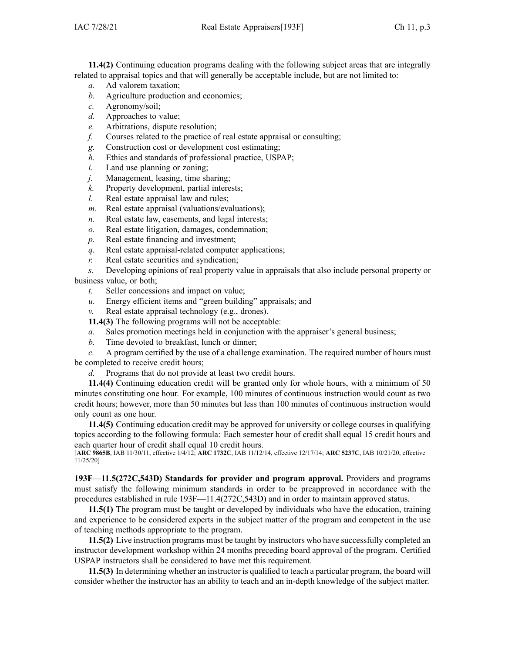**11.4(2)** Continuing education programs dealing with the following subject areas that are integrally related to appraisal topics and that will generally be acceptable include, but are not limited to:

- *a.* Ad valorem taxation;
- *b.* Agriculture production and economics;
- *c.* Agronomy/soil;
- *d.* Approaches to value;
- *e.* Arbitrations, dispute resolution;
- *f.* Courses related to the practice of real estate appraisal or consulting;
- *g.* Construction cost or development cost estimating;
- *h.* Ethics and standards of professional practice, USPAP;
- *i.* Land use planning or zoning;
- *j.* Management, leasing, time sharing;
- *k.* Property development, partial interests;
- *l.* Real estate appraisal law and rules;
- *m.* Real estate appraisal (valuations/evaluations);
- *n.* Real estate law, easements, and legal interests;
- *o.* Real estate litigation, damages, condemnation;
- *p.* Real estate financing and investment;
- *q.* Real estate appraisal-related computer applications;
- *r.* Real estate securities and syndication;
- *s.* Developing opinions of real property value in appraisals that also include personal property or business value, or both;
	- *t.* Seller concessions and impact on value;
	- *u.* Energy efficient items and "green building" appraisals; and

*v.* Real estate appraisal technology (e.g., drones).

- **11.4(3)** The following programs will not be acceptable:
- *a.* Sales promotion meetings held in conjunction with the appraiser's general business;
- *b.* Time devoted to breakfast, lunch or dinner;

*c.* A program certified by the use of <sup>a</sup> challenge examination. The required number of hours must be completed to receive credit hours;

*d.* Programs that do not provide at least two credit hours.

**11.4(4)** Continuing education credit will be granted only for whole hours, with <sup>a</sup> minimum of 50 minutes constituting one hour. For example, 100 minutes of continuous instruction would count as two credit hours; however, more than 50 minutes but less than 100 minutes of continuous instruction would only count as one hour.

**11.4(5)** Continuing education credit may be approved for university or college courses in qualifying topics according to the following formula: Each semester hour of credit shall equal 15 credit hours and each quarter hour of credit shall equal 10 credit hours.

[**ARC [9865B](https://www.legis.iowa.gov/docs/aco/arc/9865B.pdf)**, IAB 11/30/11, effective 1/4/12; **ARC [1732C](https://www.legis.iowa.gov/docs/aco/arc/1732C.pdf)**, IAB 11/12/14, effective 12/17/14; **ARC [5237C](https://www.legis.iowa.gov/docs/aco/arc/5237C.pdf)**, IAB 10/21/20, effective 11/25/20]

**193F—11.5(272C,543D) Standards for provider and program approval.** Providers and programs must satisfy the following minimum standards in order to be preapproved in accordance with the procedures established in rule [193F—11.4\(](https://www.legis.iowa.gov/docs/iac/rule/193F.11.4.pdf)272C,543D) and in order to maintain approved status.

**11.5(1)** The program must be taught or developed by individuals who have the education, training and experience to be considered experts in the subject matter of the program and competent in the use of teaching methods appropriate to the program.

**11.5(2)** Live instruction programs must be taught by instructors who have successfully completed an instructor development workshop within 24 months preceding board approval of the program. Certified USPAP instructors shall be considered to have met this requirement.

**11.5(3)** In determining whether an instructor is qualified to teach <sup>a</sup> particular program, the board will consider whether the instructor has an ability to teach and an in-depth knowledge of the subject matter.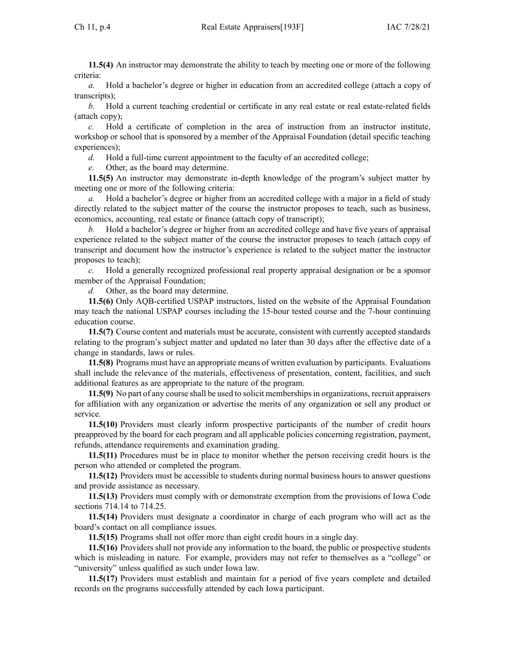**11.5(4)** An instructor may demonstrate the ability to teach by meeting one or more of the following criteria:

*a.* Hold <sup>a</sup> bachelor's degree or higher in education from an accredited college (attach <sup>a</sup> copy of transcripts);

*b.* Hold a current teaching credential or certificate in any real estate or real estate-related fields (attach copy);

*c.* Hold <sup>a</sup> certificate of completion in the area of instruction from an instructor institute, workshop or school that is sponsored by <sup>a</sup> member of the Appraisal Foundation (detail specific teaching experiences);

*d.* Hold <sup>a</sup> full-time current appointment to the faculty of an accredited college;

*e.* Other, as the board may determine.

**11.5(5)** An instructor may demonstrate in-depth knowledge of the program's subject matter by meeting one or more of the following criteria:

*a.* Hold <sup>a</sup> bachelor's degree or higher from an accredited college with <sup>a</sup> major in <sup>a</sup> field of study directly related to the subject matter of the course the instructor proposes to teach, such as business, economics, accounting, real estate or finance (attach copy of transcript);

*b.* Hold <sup>a</sup> bachelor's degree or higher from an accredited college and have five years of appraisal experience related to the subject matter of the course the instructor proposes to teach (attach copy of transcript and document how the instructor's experience is related to the subject matter the instructor proposes to teach);

*c.* Hold <sup>a</sup> generally recognized professional real property appraisal designation or be <sup>a</sup> sponsor member of the Appraisal Foundation;

*d.* Other, as the board may determine.

**11.5(6)** Only AQB-certified USPAP instructors, listed on the website of the Appraisal Foundation may teach the national USPAP courses including the 15-hour tested course and the 7-hour continuing education course.

**11.5(7)** Course content and materials must be accurate, consistent with currently accepted standards relating to the program's subject matter and updated no later than 30 days after the effective date of <sup>a</sup> change in standards, laws or rules.

**11.5(8)** Programs must have an appropriate means of written evaluation by participants. Evaluations shall include the relevance of the materials, effectiveness of presentation, content, facilities, and such additional features as are appropriate to the nature of the program.

**11.5(9)** No par<sup>t</sup> of any course shall be used to solicit membershipsin organizations, recruit appraisers for affiliation with any organization or advertise the merits of any organization or sell any product or service.

**11.5(10)** Providers must clearly inform prospective participants of the number of credit hours preapproved by the board for each program and all applicable policies concerning registration, payment, refunds, attendance requirements and examination grading.

**11.5(11)** Procedures must be in place to monitor whether the person receiving credit hours is the person who attended or completed the program.

**11.5(12)** Providers must be accessible to students during normal business hours to answer questions and provide assistance as necessary.

**11.5(13)** Providers must comply with or demonstrate exemption from the provisions of Iowa Code sections 714.14 to [714.25](https://www.legis.iowa.gov/docs/ico/section/714.14-25.pdf).

**11.5(14)** Providers must designate <sup>a</sup> coordinator in charge of each program who will act as the board's contact on all compliance issues.

**11.5(15)** Programs shall not offer more than eight credit hours in <sup>a</sup> single day.

**11.5(16)** Providers shall not provide any information to the board, the public or prospective students which is misleading in nature. For example, providers may not refer to themselves as <sup>a</sup> "college" or "university" unless qualified as such under Iowa law.

**11.5(17)** Providers must establish and maintain for <sup>a</sup> period of five years complete and detailed records on the programs successfully attended by each Iowa participant.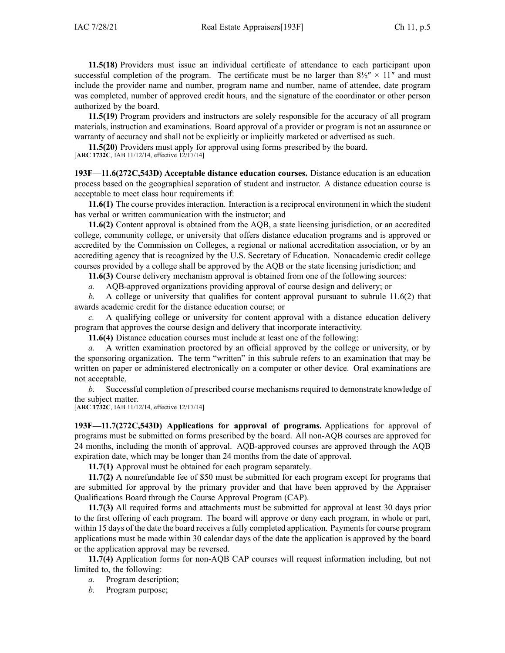**11.5(18)** Providers must issue an individual certificate of attendance to each participant upon successful completion of the program. The certificate must be no larger than  $8\frac{1}{2}$  × 11" and must include the provider name and number, program name and number, name of attendee, date program was completed, number of approved credit hours, and the signature of the coordinator or other person authorized by the board.

**11.5(19)** Program providers and instructors are solely responsible for the accuracy of all program materials, instruction and examinations. Board approval of <sup>a</sup> provider or program is not an assurance or warranty of accuracy and shall not be explicitly or implicitly marketed or advertised as such.

**11.5(20)** Providers must apply for approval using forms prescribed by the board. [**ARC [1732C](https://www.legis.iowa.gov/docs/aco/arc/1732C.pdf)**, IAB 11/12/14, effective 12/17/14]

**193F—11.6(272C,543D) Acceptable distance education courses.** Distance education is an education process based on the geographical separation of student and instructor. A distance education course is acceptable to meet class hour requirements if:

**11.6(1)** The course provides interaction. Interaction is <sup>a</sup> reciprocal environment in which the student has verbal or written communication with the instructor; and

**11.6(2)** Content approval is obtained from the AQB, <sup>a</sup> state licensing jurisdiction, or an accredited college, community college, or university that offers distance education programs and is approved or accredited by the Commission on Colleges, <sup>a</sup> regional or national accreditation association, or by an accrediting agency that is recognized by the U.S. Secretary of Education. Nonacademic credit college courses provided by <sup>a</sup> college shall be approved by the AQB or the state licensing jurisdiction; and

**11.6(3)** Course delivery mechanism approval is obtained from one of the following sources:

*a.* AQB-approved organizations providing approval of course design and delivery; or

*b.* A college or university that qualifies for content approval pursuant to subrule [11.6\(2\)](https://www.legis.iowa.gov/docs/iac/rule/193F.11.6.pdf) that awards academic credit for the distance education course; or

*c.* A qualifying college or university for content approval with <sup>a</sup> distance education delivery program that approves the course design and delivery that incorporate interactivity.

**11.6(4)** Distance education courses must include at least one of the following:

*a.* A written examination proctored by an official approved by the college or university, or by the sponsoring organization. The term "written" in this subrule refers to an examination that may be written on paper or administered electronically on <sup>a</sup> computer or other device. Oral examinations are not acceptable.

*b.* Successful completion of prescribed course mechanisms required to demonstrate knowledge of the subject matter.

[**ARC [1732C](https://www.legis.iowa.gov/docs/aco/arc/1732C.pdf)**, IAB 11/12/14, effective 12/17/14]

**193F—11.7(272C,543D) Applications for approval of programs.** Applications for approval of programs must be submitted on forms prescribed by the board. All non-AQB courses are approved for 24 months, including the month of approval. AQB-approved courses are approved through the AQB expiration date, which may be longer than 24 months from the date of approval.

**11.7(1)** Approval must be obtained for each program separately.

**11.7(2)** A nonrefundable fee of \$50 must be submitted for each program excep<sup>t</sup> for programs that are submitted for approval by the primary provider and that have been approved by the Appraiser Qualifications Board through the Course Approval Program (CAP).

**11.7(3)** All required forms and attachments must be submitted for approval at least 30 days prior to the first offering of each program. The board will approve or deny each program, in whole or part, within 15 days of the date the board receives a fully completed application. Payments for course program applications must be made within 30 calendar days of the date the application is approved by the board or the application approval may be reversed.

**11.7(4)** Application forms for non-AQB CAP courses will reques<sup>t</sup> information including, but not limited to, the following:

*a.* Program description;

*b.* Program purpose;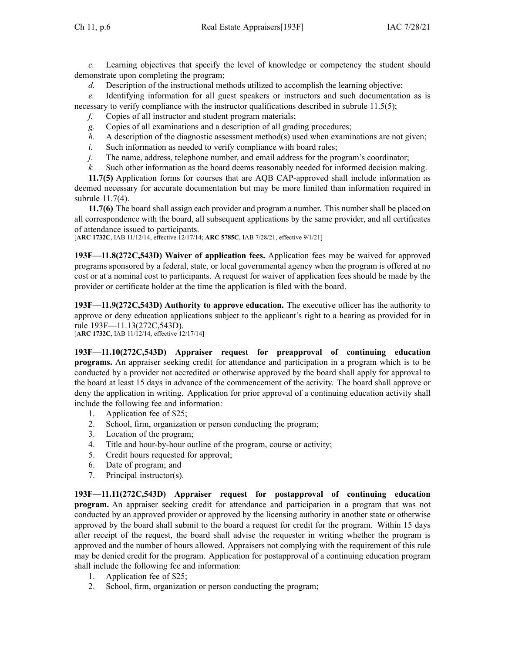*c.* Learning objectives that specify the level of knowledge or competency the student should demonstrate upon completing the program;

*d.* Description of the instructional methods utilized to accomplish the learning objective;

*e.* Identifying information for all gues<sup>t</sup> speakers or instructors and such documentation as is necessary to verify compliance with the instructor qualifications described in subrule [11.5\(5\)](https://www.legis.iowa.gov/docs/iac/rule/193F.11.5.pdf);

- *f.* Copies of all instructor and student program materials;
- *g.* Copies of all examinations and <sup>a</sup> description of all grading procedures;
- *h.* A description of the diagnostic assessment method(s) used when examinations are not given;
- *i.* Such information as needed to verify compliance with board rules;
- *j.* The name, address, telephone number, and email address for the program's coordinator;
- *k.* Such other information as the board deems reasonably needed for informed decision making.

**11.7(5)** Application forms for courses that are AQB CAP-approved shall include information as deemed necessary for accurate documentation but may be more limited than information required in subrule [11.7\(4\)](https://www.legis.iowa.gov/docs/iac/rule/193F.11.7.pdf).

**11.7(6)** The board shall assign each provider and program <sup>a</sup> number. This number shall be placed on all correspondence with the board, all subsequent applications by the same provider, and all certificates of attendance issued to participants.

[**ARC [1732C](https://www.legis.iowa.gov/docs/aco/arc/1732C.pdf)**, IAB 11/12/14, effective 12/17/14; **ARC [5785C](https://www.legis.iowa.gov/docs/aco/arc/5785C.pdf)**, IAB 7/28/21, effective 9/1/21]

**193F—11.8(272C,543D) Waiver of application fees.** Application fees may be waived for approved programs sponsored by <sup>a</sup> federal, state, or local governmental agency when the program is offered at no cost or at <sup>a</sup> nominal cost to participants. A reques<sup>t</sup> for waiver of application fees should be made by the provider or certificate holder at the time the application is filed with the board.

**193F—11.9(272C,543D) Authority to approve education.** The executive officer has the authority to approve or deny education applications subject to the applicant's right to <sup>a</sup> hearing as provided for in rule [193F—11.13](https://www.legis.iowa.gov/docs/iac/rule/193F.11.13.pdf)(272C,543D). [**ARC [1732C](https://www.legis.iowa.gov/docs/aco/arc/1732C.pdf)**, IAB 11/12/14, effective 12/17/14]

**193F—11.10(272C,543D) Appraiser request for preapproval of continuing education programs.** An appraiser seeking credit for attendance and participation in <sup>a</sup> program which is to be conducted by <sup>a</sup> provider not accredited or otherwise approved by the board shall apply for approval to the board at least 15 days in advance of the commencement of the activity. The board shall approve or deny the application in writing. Application for prior approval of <sup>a</sup> continuing education activity shall include the following fee and information:

- 1. Application fee of \$25;
- 2. School, firm, organization or person conducting the program;
- 3. Location of the program;
- 4. Title and hour-by-hour outline of the program, course or activity;
- 5. Credit hours requested for approval;
- 6. Date of program; and
- 7. Principal instructor(s).

**193F—11.11(272C,543D) Appraiser request for postapproval of continuing education program.** An appraiser seeking credit for attendance and participation in <sup>a</sup> program that was not conducted by an approved provider or approved by the licensing authority in another state or otherwise approved by the board shall submit to the board <sup>a</sup> reques<sup>t</sup> for credit for the program. Within 15 days after receipt of the request, the board shall advise the requester in writing whether the program is approved and the number of hours allowed. Appraisers not complying with the requirement of this rule may be denied credit for the program. Application for postapproval of <sup>a</sup> continuing education program shall include the following fee and information:

- 1. Application fee of \$25;
- 2. School, firm, organization or person conducting the program;